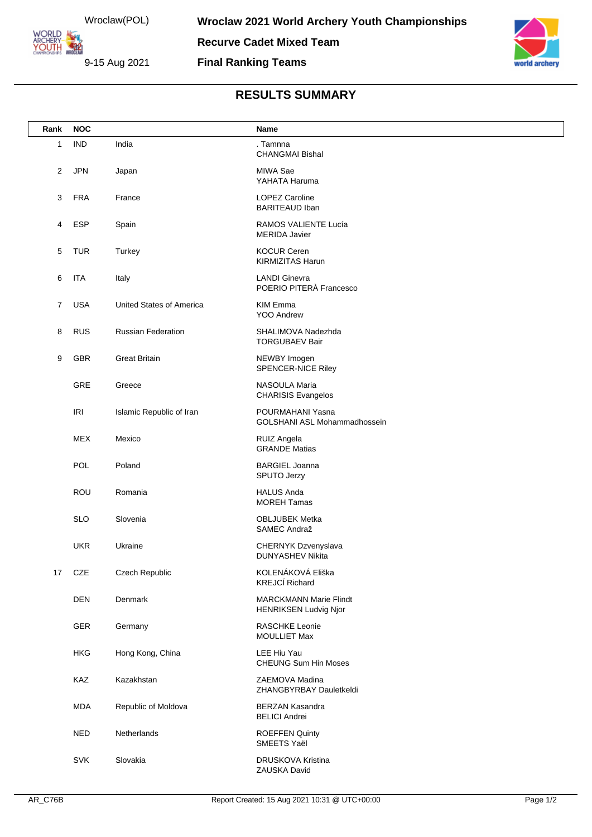Wroclaw(POL)

**ORLD YOUTH 22** 

9-15 Aug 2021

**Final Ranking Teams**



## **RESULTS SUMMARY**

| Rank           | <b>NOC</b> |                           | Name                                                          |
|----------------|------------|---------------------------|---------------------------------------------------------------|
| 1              | <b>IND</b> | India                     | . Tamnna<br><b>CHANGMAI Bishal</b>                            |
| 2              | <b>JPN</b> | Japan                     | MIWA Sae<br>YAHATA Haruma                                     |
| 3              | <b>FRA</b> | France                    | <b>LOPEZ Caroline</b><br><b>BARITEAUD Iban</b>                |
| 4              | <b>ESP</b> | Spain                     | RAMOS VALIENTE Lucía<br><b>MERIDA Javier</b>                  |
| 5              | <b>TUR</b> | Turkey                    | <b>KOCUR Ceren</b><br><b>KIRMIZITAS Harun</b>                 |
| 6              | <b>ITA</b> | Italy                     | <b>LANDI Ginevra</b><br>POERIO PITERÀ Francesco               |
| $\overline{7}$ | <b>USA</b> | United States of America  | <b>KIM Emma</b><br>YOO Andrew                                 |
| 8              | <b>RUS</b> | <b>Russian Federation</b> | SHALIMOVA Nadezhda<br><b>TORGUBAEV Bair</b>                   |
| 9              | GBR        | <b>Great Britain</b>      | NEWBY Imogen<br>SPENCER-NICE Riley                            |
|                | GRE        | Greece                    | NASOULA Maria<br><b>CHARISIS Evangelos</b>                    |
|                | <b>IRI</b> | Islamic Republic of Iran  | POURMAHANI Yasna<br>GOLSHANI ASL Mohammadhossein              |
|                | <b>MEX</b> | Mexico                    | RUIZ Angela<br><b>GRANDE Matias</b>                           |
|                | <b>POL</b> | Poland                    | <b>BARGIEL Joanna</b><br>SPUTO Jerzy                          |
|                | ROU        | Romania                   | <b>HALUS Anda</b><br><b>MOREH Tamas</b>                       |
|                | <b>SLO</b> | Slovenia                  | <b>OBLJUBEK Metka</b><br>SAMEC Andraž                         |
|                | <b>UKR</b> | Ukraine                   | CHERNYK Dzvenyslava<br>DUNYASHEV Nikita                       |
| 17             | CZE        | Czech Republic            | KOLENÁKOVÁ Eliška<br><b>KREJCÍ Richard</b>                    |
|                | <b>DEN</b> | Denmark                   | <b>MARCKMANN Marie Flindt</b><br><b>HENRIKSEN Ludvig Njor</b> |
|                | GER        | Germany                   | <b>RASCHKE Leonie</b><br><b>MOULLIET Max</b>                  |
|                | <b>HKG</b> | Hong Kong, China          | LEE Hiu Yau<br><b>CHEUNG Sum Hin Moses</b>                    |
|                | KAZ        | Kazakhstan                | ZAEMOVA Madina<br>ZHANGBYRBAY Dauletkeldi                     |
|                | <b>MDA</b> | Republic of Moldova       | <b>BERZAN Kasandra</b><br><b>BELICI Andrei</b>                |
|                | <b>NED</b> | Netherlands               | <b>ROEFFEN Quinty</b><br>SMEETS Yaël                          |
|                | <b>SVK</b> | Slovakia                  | DRUSKOVA Kristina<br>ZAUSKA David                             |